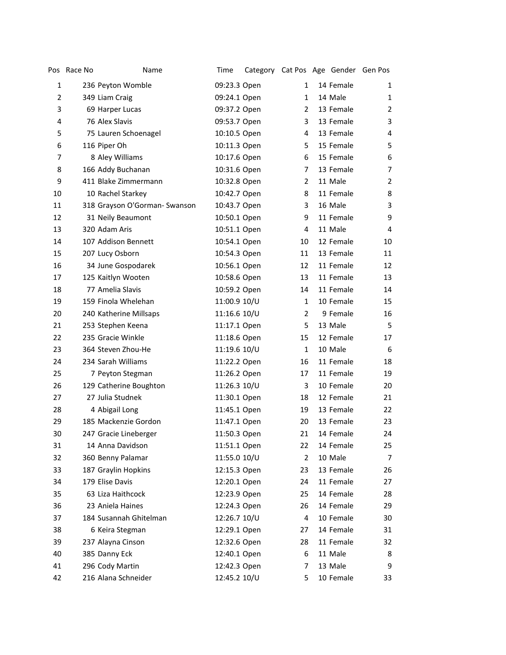|                | Pos Race No | Name                          | Time         | Category Cat Pos Age Gender Gen Pos |              |           |                |
|----------------|-------------|-------------------------------|--------------|-------------------------------------|--------------|-----------|----------------|
| 1              |             | 236 Peyton Womble             | 09:23.3 Open |                                     | $\mathbf{1}$ | 14 Female | 1              |
| $\overline{2}$ |             | 349 Liam Craig                | 09:24.1 Open |                                     | $\mathbf{1}$ | 14 Male   | 1              |
| 3              |             | 69 Harper Lucas               | 09:37.2 Open |                                     | 2            | 13 Female | $\overline{2}$ |
| 4              |             | 76 Alex Slavis                | 09:53.7 Open |                                     | 3            | 13 Female | 3              |
| 5              |             | 75 Lauren Schoenagel          | 10:10.5 Open |                                     | 4            | 13 Female | 4              |
| 6              |             | 116 Piper Oh                  | 10:11.3 Open |                                     | 5            | 15 Female | 5              |
| $\overline{7}$ |             | 8 Aley Williams               | 10:17.6 Open |                                     | 6            | 15 Female | 6              |
| 8              |             | 166 Addy Buchanan             | 10:31.6 Open |                                     | 7            | 13 Female | 7              |
| 9              |             | 411 Blake Zimmermann          | 10:32.8 Open |                                     | 2            | 11 Male   | $\overline{2}$ |
| 10             |             | 10 Rachel Starkey             | 10:42.7 Open |                                     | 8            | 11 Female | 8              |
| 11             |             | 318 Grayson O'Gorman- Swanson | 10:43.7 Open |                                     | 3            | 16 Male   | 3              |
| 12             |             | 31 Neily Beaumont             | 10:50.1 Open |                                     | 9            | 11 Female | 9              |
| 13             |             | 320 Adam Aris                 | 10:51.1 Open |                                     | 4            | 11 Male   | $\overline{4}$ |
| 14             |             | 107 Addison Bennett           | 10:54.1 Open |                                     | 10           | 12 Female | 10             |
| 15             |             | 207 Lucy Osborn               | 10:54.3 Open |                                     | 11           | 13 Female | 11             |
| 16             |             | 34 June Gospodarek            | 10:56.1 Open |                                     | 12           | 11 Female | 12             |
| 17             |             | 125 Kaitlyn Wooten            | 10:58.6 Open |                                     | 13           | 11 Female | 13             |
| 18             |             | 77 Amelia Slavis              | 10:59.2 Open |                                     | 14           | 11 Female | 14             |
| 19             |             | 159 Finola Whelehan           | 11:00.9 10/U |                                     | $\mathbf{1}$ | 10 Female | 15             |
| 20             |             | 240 Katherine Millsaps        | 11:16.6 10/U |                                     | 2            | 9 Female  | 16             |
| 21             |             | 253 Stephen Keena             | 11:17.1 Open |                                     | 5            | 13 Male   | 5              |
| 22             |             | 235 Gracie Winkle             | 11:18.6 Open |                                     | 15           | 12 Female | 17             |
| 23             |             | 364 Steven Zhou-He            | 11:19.6 10/U |                                     | $\mathbf{1}$ | 10 Male   | 6              |
| 24             |             | 234 Sarah Williams            | 11:22.2 Open |                                     | 16           | 11 Female | 18             |
| 25             |             | 7 Peyton Stegman              | 11:26.2 Open |                                     | 17           | 11 Female | 19             |
| 26             |             | 129 Catherine Boughton        | 11:26.3 10/U |                                     | 3            | 10 Female | 20             |
| 27             |             | 27 Julia Studnek              | 11:30.1 Open |                                     | 18           | 12 Female | 21             |
| 28             |             | 4 Abigail Long                | 11:45.1 Open |                                     | 19           | 13 Female | 22             |
| 29             |             | 185 Mackenzie Gordon          | 11:47.1 Open |                                     | 20           | 13 Female | 23             |
| 30             |             | 247 Gracie Lineberger         | 11:50.3 Open |                                     | 21           | 14 Female | 24             |
| 31             |             | 14 Anna Davidson              | 11:51.1 Open |                                     | 22           | 14 Female | 25             |
| 32             |             | 360 Benny Palamar             | 11:55.0 10/U |                                     | 2            | 10 Male   | 7              |
| 33             |             | 187 Graylin Hopkins           | 12:15.3 Open |                                     | 23           | 13 Female | 26             |
| 34             |             | 179 Elise Davis               | 12:20.1 Open |                                     | 24           | 11 Female | 27             |
| 35             |             | 63 Liza Haithcock             | 12:23.9 Open |                                     | 25           | 14 Female | 28             |
| 36             |             | 23 Aniela Haines              | 12:24.3 Open |                                     | 26           | 14 Female | 29             |
| 37             |             | 184 Susannah Ghitelman        | 12:26.7 10/U |                                     | 4            | 10 Female | 30             |
| 38             |             | 6 Keira Stegman               | 12:29.1 Open |                                     | 27           | 14 Female | 31             |
| 39             |             | 237 Alayna Cinson             | 12:32.6 Open |                                     | 28           | 11 Female | 32             |
| 40             |             | 385 Danny Eck                 | 12:40.1 Open |                                     | 6            | 11 Male   | 8              |
| 41             |             | 296 Cody Martin               | 12:42.3 Open |                                     | 7            | 13 Male   | 9              |
| 42             |             | 216 Alana Schneider           | 12:45.2 10/U |                                     | 5            | 10 Female | 33             |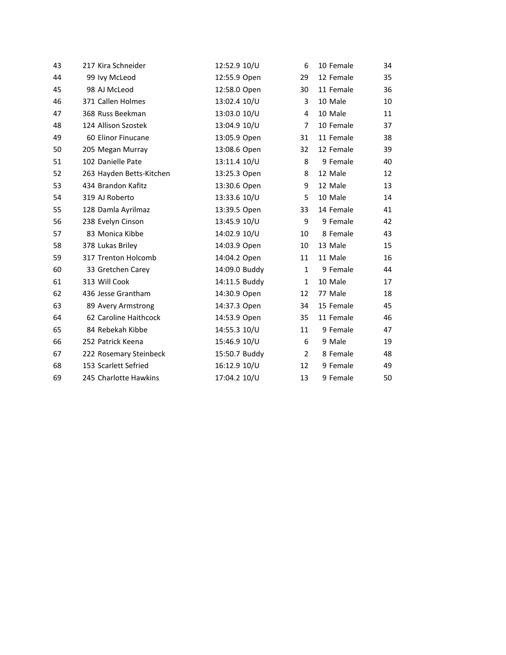| 43 | 217 Kira Schneider       | 12:52.9 10/U  | 6              | 10 Female | 34 |
|----|--------------------------|---------------|----------------|-----------|----|
| 44 | 99 Ivy McLeod            | 12:55.9 Open  | 29             | 12 Female | 35 |
| 45 | 98 AJ McLeod             | 12:58.0 Open  | 30             | 11 Female | 36 |
| 46 | 371 Callen Holmes        | 13:02.4 10/U  | 3              | 10 Male   | 10 |
| 47 | 368 Russ Beekman         | 13:03.0 10/U  | 4              | 10 Male   | 11 |
| 48 | 124 Allison Szostek      | 13:04.9 10/U  | $\overline{7}$ | 10 Female | 37 |
| 49 | 60 Elinor Finucane       | 13:05.9 Open  | 31             | 11 Female | 38 |
| 50 | 205 Megan Murray         | 13:08.6 Open  | 32             | 12 Female | 39 |
| 51 | 102 Danielle Pate        | 13:11.4 10/U  | 8              | 9 Female  | 40 |
| 52 | 263 Hayden Betts-Kitchen | 13:25.3 Open  | 8              | 12 Male   | 12 |
| 53 | 434 Brandon Kafitz       | 13:30.6 Open  | 9              | 12 Male   | 13 |
| 54 | 319 AJ Roberto           | 13:33.6 10/U  | 5              | 10 Male   | 14 |
| 55 | 128 Damla Ayrilmaz       | 13:39.5 Open  | 33             | 14 Female | 41 |
| 56 | 238 Evelyn Cinson        | 13:45.9 10/U  | 9              | 9 Female  | 42 |
| 57 | 83 Monica Kibbe          | 14:02.9 10/U  | 10             | 8 Female  | 43 |
| 58 | 378 Lukas Briley         | 14:03.9 Open  | 10             | 13 Male   | 15 |
| 59 | 317 Trenton Holcomb      | 14:04.2 Open  | 11             | 11 Male   | 16 |
| 60 | 33 Gretchen Carey        | 14:09.0 Buddy | $\mathbf{1}$   | 9 Female  | 44 |
| 61 | 313 Will Cook            | 14:11.5 Buddy | $\mathbf{1}$   | 10 Male   | 17 |
| 62 | 436 Jesse Grantham       | 14:30.9 Open  | 12             | 77 Male   | 18 |
| 63 | 89 Avery Armstrong       | 14:37.3 Open  | 34             | 15 Female | 45 |
| 64 | 62 Caroline Haithcock    | 14:53.9 Open  | 35             | 11 Female | 46 |
| 65 | 84 Rebekah Kibbe         | 14:55.3 10/U  | 11             | 9 Female  | 47 |
| 66 | 252 Patrick Keena        | 15:46.9 10/U  | 6              | 9 Male    | 19 |
| 67 | 222 Rosemary Steinbeck   | 15:50.7 Buddy | $\overline{2}$ | 8 Female  | 48 |
| 68 | 153 Scarlett Sefried     | 16:12.9 10/U  | 12             | 9 Female  | 49 |
| 69 | 245 Charlotte Hawkins    | 17:04.2 10/U  | 13             | 9 Female  | 50 |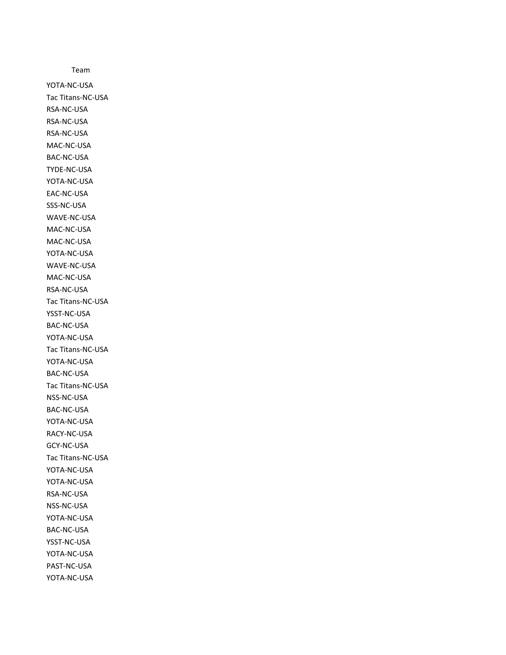Team YOTA-NC-USA Tac Titans-NC-USA RSA-NC-USA RSA-NC-USA RSA-NC-USA MAC-NC-USA BAC-NC-USA TYDE-NC-USA YOTA-NC-USA EAC-NC-USA SSS-NC-USA WAVE-NC-USA MAC-NC-USA MAC-NC-USA YOTA-NC-USA WAVE-NC-USA MAC-NC-USA RSA-NC-USA Tac Titans-NC-USA YSST-NC-USA BAC-NC-USA YOTA-NC-USA Tac Titans-NC-USA YOTA-NC-USA BAC-NC-USA Tac Titans-NC-USA NSS-NC-USA BAC-NC-USA YOTA-NC-USA RACY-NC-USA GCY-NC-USA Tac Titans-NC-USA YOTA-NC-USA YOTA-NC-USA RSA-NC-USA NSS-NC-USA YOTA-NC-USA BAC-NC-USA YSST-NC-USA YOTA-NC-USA PAST-NC-USA YOTA-NC-USA